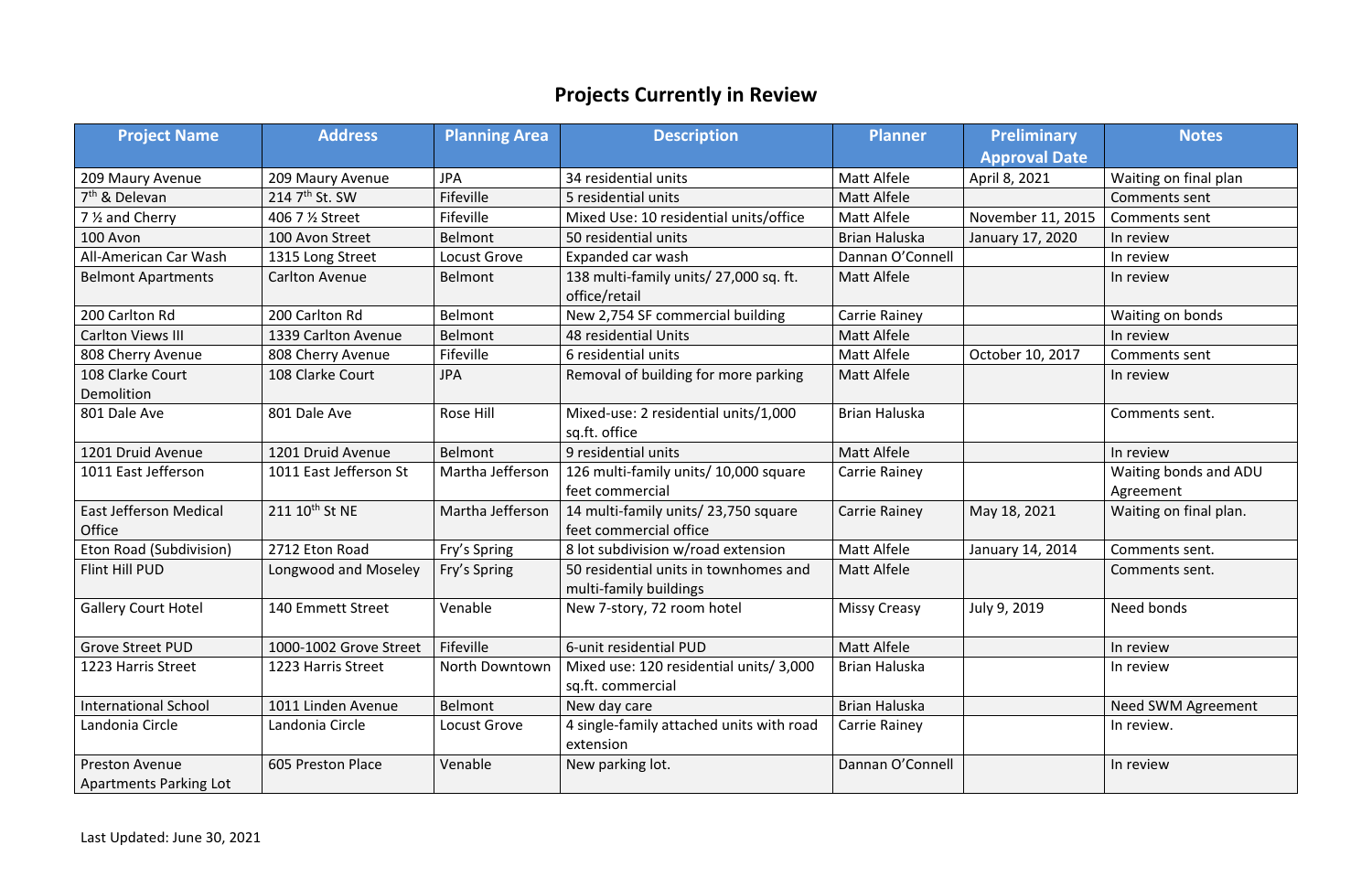## **Projects Currently in Review**

| <b>Project Name</b>                             | <b>Address</b>             | <b>Planning Area</b> | <b>Description</b><br><b>Planner</b>                                         |                      | <b>Preliminary</b>   | <b>Notes</b>                       |
|-------------------------------------------------|----------------------------|----------------------|------------------------------------------------------------------------------|----------------------|----------------------|------------------------------------|
|                                                 |                            |                      |                                                                              |                      | <b>Approval Date</b> |                                    |
| 209 Maury Avenue                                | 209 Maury Avenue           | <b>JPA</b>           | 34 residential units                                                         | <b>Matt Alfele</b>   | April 8, 2021        | Waiting on final plan              |
| $7th$ & Delevan                                 | 214 7 <sup>th</sup> St. SW | Fifeville            | 5 residential units                                                          | Matt Alfele          |                      | Comments sent                      |
| 7 1/ <sub>2</sub> and Cherry                    | 406 7 % Street             | Fifeville            | Mixed Use: 10 residential units/office                                       | <b>Matt Alfele</b>   | November 11, 2015    | Comments sent                      |
| 100 Avon                                        | 100 Avon Street            | <b>Belmont</b>       | 50 residential units                                                         | <b>Brian Haluska</b> | January 17, 2020     | In review                          |
| All-American Car Wash                           | 1315 Long Street           | Locust Grove         | Expanded car wash                                                            | Dannan O'Connell     |                      | In review                          |
| <b>Belmont Apartments</b>                       | <b>Carlton Avenue</b>      | Belmont              | 138 multi-family units/27,000 sq. ft.<br><b>Matt Alfele</b><br>office/retail |                      |                      | In review                          |
| 200 Carlton Rd                                  | 200 Carlton Rd             | Belmont              | New 2,754 SF commercial building                                             | Carrie Rainey        |                      | Waiting on bonds                   |
| <b>Carlton Views III</b>                        | 1339 Carlton Avenue        | Belmont              | <b>48 residential Units</b>                                                  | Matt Alfele          |                      | In review                          |
| 808 Cherry Avenue                               | 808 Cherry Avenue          | Fifeville            | 6 residential units                                                          | Matt Alfele          | October 10, 2017     | Comments sent                      |
| 108 Clarke Court<br>Demolition                  | 108 Clarke Court           | <b>JPA</b>           | Removal of building for more parking                                         | <b>Matt Alfele</b>   |                      | In review                          |
| 801 Dale Ave                                    | 801 Dale Ave               | <b>Rose Hill</b>     | Mixed-use: 2 residential units/1,000<br>sq.ft. office                        | <b>Brian Haluska</b> |                      | Comments sent.                     |
| 1201 Druid Avenue                               | 1201 Druid Avenue          | Belmont              | 9 residential units                                                          | <b>Matt Alfele</b>   |                      | In review                          |
| 1011 East Jefferson                             | 1011 East Jefferson St     | Martha Jefferson     | 126 multi-family units/10,000 square<br>feet commercial                      | Carrie Rainey        |                      | Waiting bonds and ADU<br>Agreement |
| <b>East Jefferson Medical</b><br>Office         | 211 10 <sup>th</sup> St NE | Martha Jefferson     | 14 multi-family units/23,750 square<br>feet commercial office                | <b>Carrie Rainey</b> | May 18, 2021         | Waiting on final plan.             |
| Eton Road (Subdivision)                         | 2712 Eton Road             | Fry's Spring         | 8 lot subdivision w/road extension                                           | <b>Matt Alfele</b>   | January 14, 2014     | Comments sent.                     |
| <b>Flint Hill PUD</b>                           | Longwood and Moseley       | Fry's Spring         | 50 residential units in townhomes and<br>multi-family buildings              | <b>Matt Alfele</b>   |                      | Comments sent.                     |
| <b>Gallery Court Hotel</b>                      | 140 Emmett Street          | Venable              | New 7-story, 72 room hotel                                                   | <b>Missy Creasy</b>  | July 9, 2019         | Need bonds                         |
| <b>Grove Street PUD</b>                         | 1000-1002 Grove Street     | Fifeville            | 6-unit residential PUD                                                       | Matt Alfele          |                      | In review                          |
| 1223 Harris Street                              | 1223 Harris Street         | North Downtown       | Mixed use: 120 residential units/3,000<br>sq.ft. commercial                  | <b>Brian Haluska</b> |                      | In review                          |
| <b>International School</b>                     | 1011 Linden Avenue         | Belmont              | New day care                                                                 | <b>Brian Haluska</b> |                      | Need SWM Agreement                 |
| Landonia Circle                                 | Landonia Circle            | Locust Grove         | 4 single-family attached units with road<br>extension                        | Carrie Rainey        |                      | In review.                         |
| <b>Preston Avenue</b><br>Apartments Parking Lot | 605 Preston Place          | Venable              | New parking lot.                                                             | Dannan O'Connell     |                      | In review                          |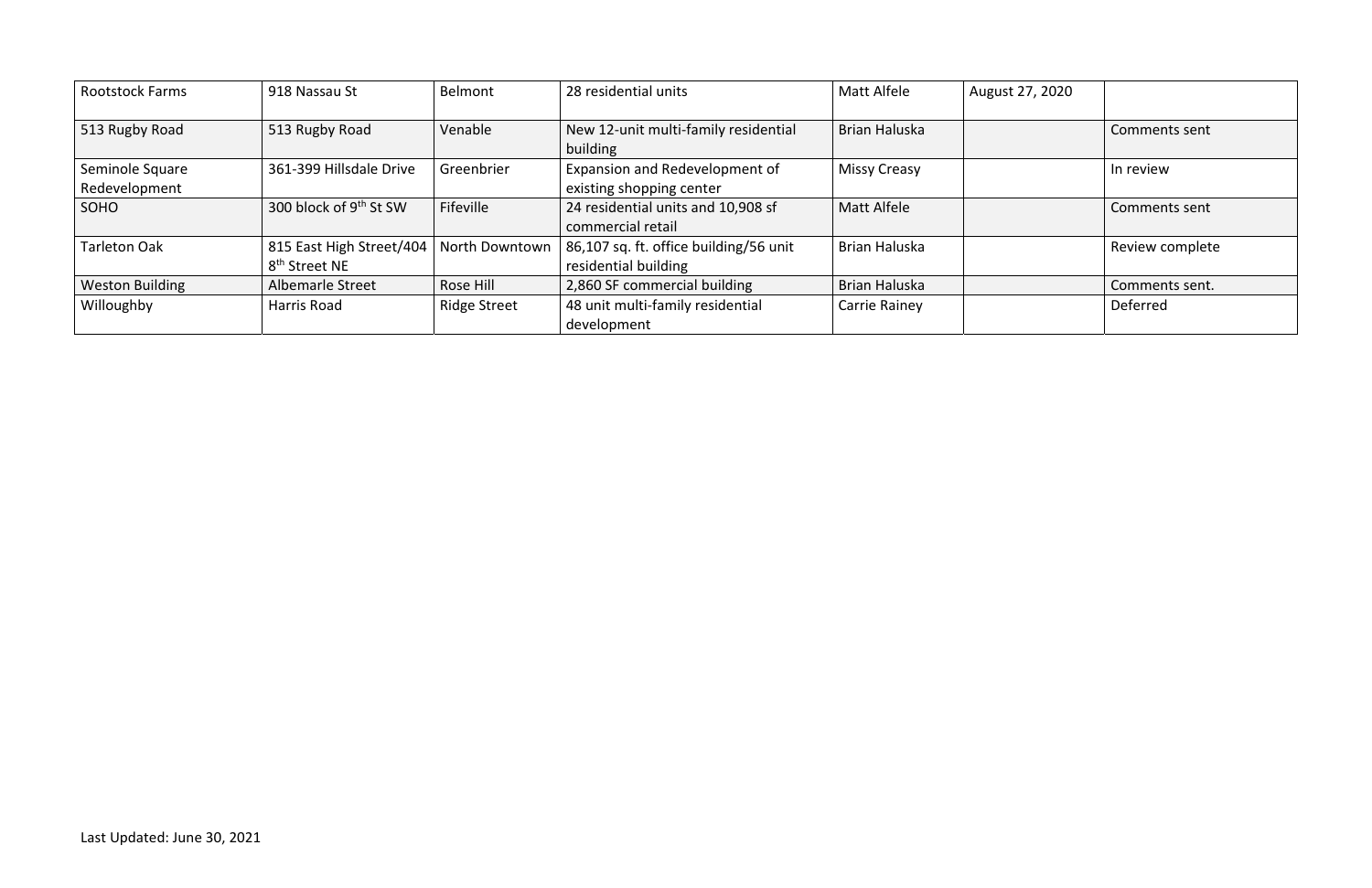| <b>Rootstock Farms</b> | 918 Nassau St                      | Belmont               | 28 residential units                             | <b>Matt Alfele</b>   | August 27, 2020 |                      |
|------------------------|------------------------------------|-----------------------|--------------------------------------------------|----------------------|-----------------|----------------------|
| 513 Rugby Road         | 513 Rugby Road                     | Venable               | New 12-unit multi-family residential<br>building | <b>Brian Haluska</b> |                 | Comments sent        |
| Seminole Square        | 361-399 Hillsdale Drive            | Greenbrier            | Expansion and Redevelopment of                   | <b>Missy Creasy</b>  |                 | In review            |
| Redevelopment          |                                    |                       | existing shopping center                         |                      |                 |                      |
| SOHO                   | 300 block of 9 <sup>th</sup> St SW | Fifeville             | 24 residential units and 10,908 sf               | Matt Alfele          |                 | <b>Comments sent</b> |
|                        |                                    |                       | commercial retail                                |                      |                 |                      |
| Tarleton Oak           | 815 East High Street/404           | <b>North Downtown</b> | 86,107 sq. ft. office building/56 unit           | <b>Brian Haluska</b> |                 | Review complete      |
|                        | 8 <sup>th</sup> Street NE          |                       | residential building                             |                      |                 |                      |
| <b>Weston Building</b> | <b>Albemarle Street</b>            | Rose Hill             | 2,860 SF commercial building                     | Brian Haluska        |                 | Comments sent.       |
| Willoughby             | <b>Harris Road</b>                 | <b>Ridge Street</b>   | 48 unit multi-family residential                 | <b>Carrie Rainey</b> |                 | Deferred             |
|                        |                                    |                       | development                                      |                      |                 |                      |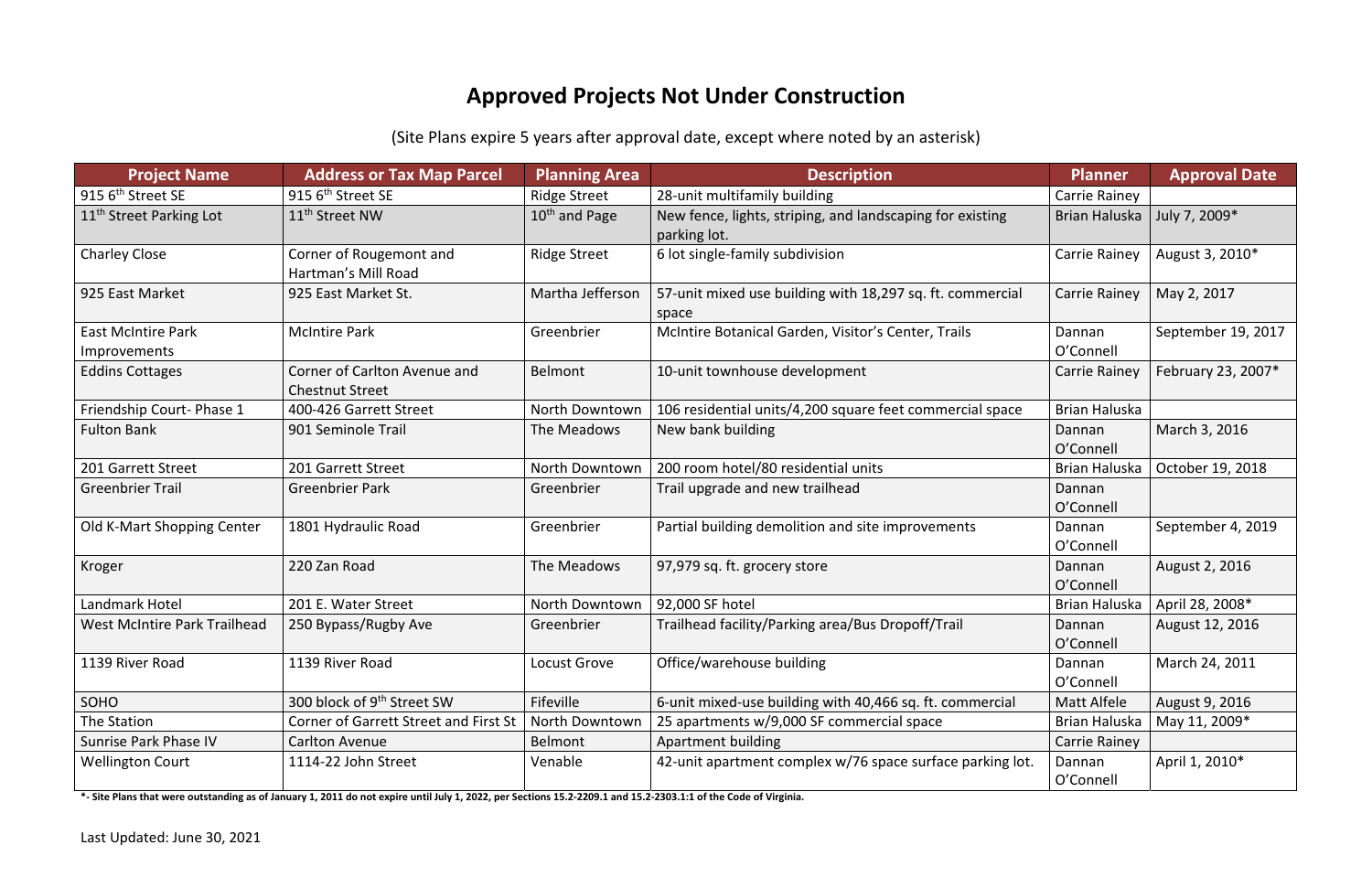## **Approved Projects Not Under Construction**

(Site Plans expire 5 years after approval date, except where noted by an asterisk)

| <b>Project Name</b>                       | <b>Address or Tax Map Parcel</b>                       | <b>Planning Area</b> | <b>Description</b>                                                        | <b>Planner</b>       | <b>Approval Date</b> |
|-------------------------------------------|--------------------------------------------------------|----------------------|---------------------------------------------------------------------------|----------------------|----------------------|
| 915 6 <sup>th</sup> Street SE             | 915 6 <sup>th</sup> Street SE                          | <b>Ridge Street</b>  | 28-unit multifamily building                                              | Carrie Rainey        |                      |
| 11 <sup>th</sup> Street Parking Lot       | 11 <sup>th</sup> Street NW                             | $10th$ and Page      | New fence, lights, striping, and landscaping for existing<br>parking lot. | Brian Haluska        | July 7, 2009*        |
| <b>Charley Close</b>                      | Corner of Rougemont and<br>Hartman's Mill Road         | <b>Ridge Street</b>  | 6 lot single-family subdivision                                           | Carrie Rainey        | August 3, 2010*      |
| 925 East Market                           | 925 East Market St.                                    | Martha Jefferson     | 57-unit mixed use building with 18,297 sq. ft. commercial<br>space        | Carrie Rainey        | May 2, 2017          |
| <b>East McIntire Park</b><br>Improvements | <b>McIntire Park</b>                                   | Greenbrier           | McIntire Botanical Garden, Visitor's Center, Trails                       | Dannan<br>O'Connell  | September 19, 2017   |
| <b>Eddins Cottages</b>                    | Corner of Carlton Avenue and<br><b>Chestnut Street</b> | <b>Belmont</b>       | 10-unit townhouse development                                             | <b>Carrie Rainey</b> | February 23, 2007*   |
| Friendship Court-Phase 1                  | 400-426 Garrett Street                                 | North Downtown       | 106 residential units/4,200 square feet commercial space                  | Brian Haluska        |                      |
| <b>Fulton Bank</b>                        | 901 Seminole Trail                                     | The Meadows          | New bank building                                                         | Dannan<br>O'Connell  | March 3, 2016        |
| 201 Garrett Street                        | 201 Garrett Street                                     | North Downtown       | 200 room hotel/80 residential units                                       | Brian Haluska        | October 19, 2018     |
| <b>Greenbrier Trail</b>                   | <b>Greenbrier Park</b>                                 | Greenbrier           | Trail upgrade and new trailhead                                           | Dannan<br>O'Connell  |                      |
| Old K-Mart Shopping Center                | 1801 Hydraulic Road                                    | Greenbrier           | Partial building demolition and site improvements                         | Dannan<br>O'Connell  | September 4, 2019    |
| Kroger                                    | 220 Zan Road                                           | The Meadows          | 97,979 sq. ft. grocery store                                              | Dannan<br>O'Connell  | August 2, 2016       |
| Landmark Hotel                            | 201 E. Water Street                                    | North Downtown       | 92,000 SF hotel                                                           | <b>Brian Haluska</b> | April 28, 2008*      |
| <b>West McIntire Park Trailhead</b>       | 250 Bypass/Rugby Ave                                   | Greenbrier           | Trailhead facility/Parking area/Bus Dropoff/Trail                         | Dannan<br>O'Connell  | August 12, 2016      |
| 1139 River Road                           | 1139 River Road                                        | Locust Grove         | Office/warehouse building                                                 | Dannan<br>O'Connell  | March 24, 2011       |
| SOHO                                      | 300 block of 9 <sup>th</sup> Street SW                 | Fifeville            | 6-unit mixed-use building with 40,466 sq. ft. commercial                  | Matt Alfele          | August 9, 2016       |
| The Station                               | <b>Corner of Garrett Street and First St</b>           | North Downtown       | 25 apartments w/9,000 SF commercial space                                 | Brian Haluska        | May 11, 2009*        |
| Sunrise Park Phase IV                     | <b>Carlton Avenue</b>                                  | <b>Belmont</b>       | <b>Apartment building</b>                                                 | Carrie Rainey        |                      |
| <b>Wellington Court</b>                   | 1114-22 John Street                                    | Venable              | 42-unit apartment complex w/76 space surface parking lot.                 | Dannan<br>O'Connell  | April 1, 2010*       |

\*- Site Plans that were outstanding as of January 1, 2011 do not expire until July 1, 2022, per Sections 15.2-2209.1 and 15.2-2303.1:1 of the Code of Virginia.